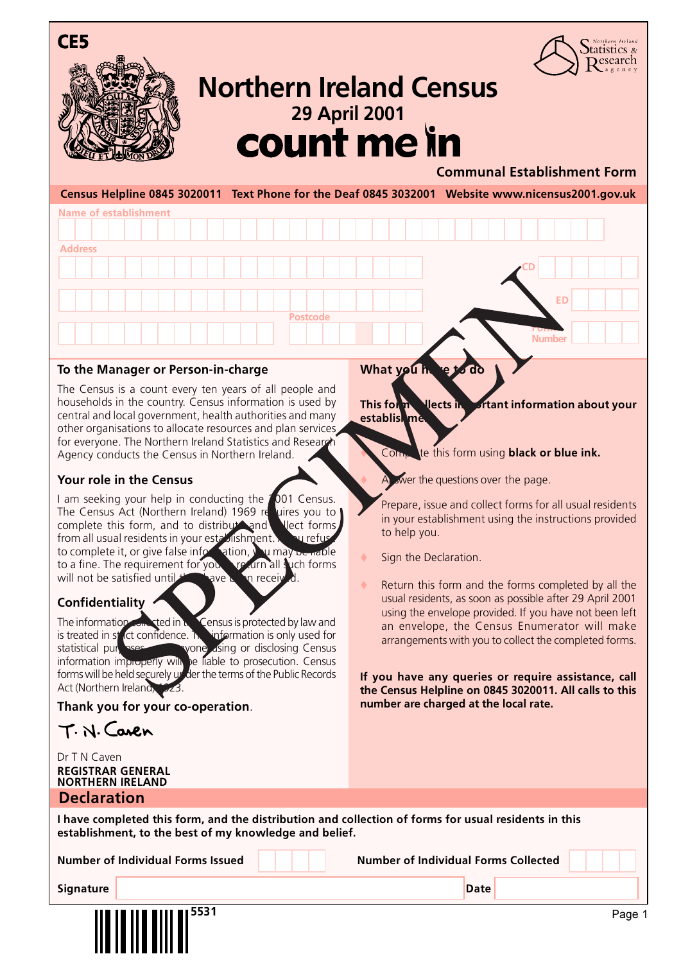





# <sup>29 April 2001</sup><br>**COUNT Me in Northern Ireland Census**

## **Communal Establishment Form**

**Census Helpline 0845 3020011 Text Phone for the Deaf 0845 3032001 Website www.nicensus2001.gov.uk**



#### **To the Manager or Person-in-charge**

The Census is a count every ten years of all people and households in the country. Census information is used by central and local government, health authorities and many other organisations to allocate resources and plan services for everyone. The Northern Ireland Statistics and Research Agency conducts the Census in Northern Ireland.

### **Your role in the Census**

I am seeking your help in conducting the 2001 Census. The Census Act (Northern Ireland) 1969 requires you to complete this form, and to distribute and elect forms from all usual residents in your establishment. **If you refuse the complete** it, or give false information, **If you may be nation** to complete it, or give false information, you may be liable to a fine. The requirement for you the drn all such forms will not be satisfied until  $t$  ave been received.

#### **Confidentiality**

The information consisted in  $\mu$  Census is protected by law and is treated in  $st$  (ct confidence. The information is only used for statistical purposes and anyone using or disclosing Census information improperly will be liable to prosecution. Census forms will be held securely under the terms of the Public Records Act (Northern Ireland) 223.

**Thank you for your co-operation**.

T. N. Caven

Dr T N Caven **REGISTRAR GENERAL NORTHERN IRELAND**

# **Declaration**

**What you h** 

**This form Liects in Littlet information about your establishment** 

Complete this form using **black or blue ink.** 

A swer the questions over the page.

Prepare, issue and collect forms for all usual residents in your establishment using the instructions provided to help you.

- Sign the Declaration.
- Return this form and the forms completed by all the usual residents, as soon as possible after 29 April 2001 using the envelope provided. If you have not been left an envelope, the Census Enumerator will make arrangements with you to collect the completed forms.

**If you have any queries or require assistance, call the Census Helpline on 0845 3020011. All calls to this number are charged at the local rate.**

**I have completed this form, and the distribution and collection of forms for usual residents in this establishment, to the best of my knowledge and belief.**

**Number of Individual Forms Issued Number of Individual Forms Collected**

**Signature Date**